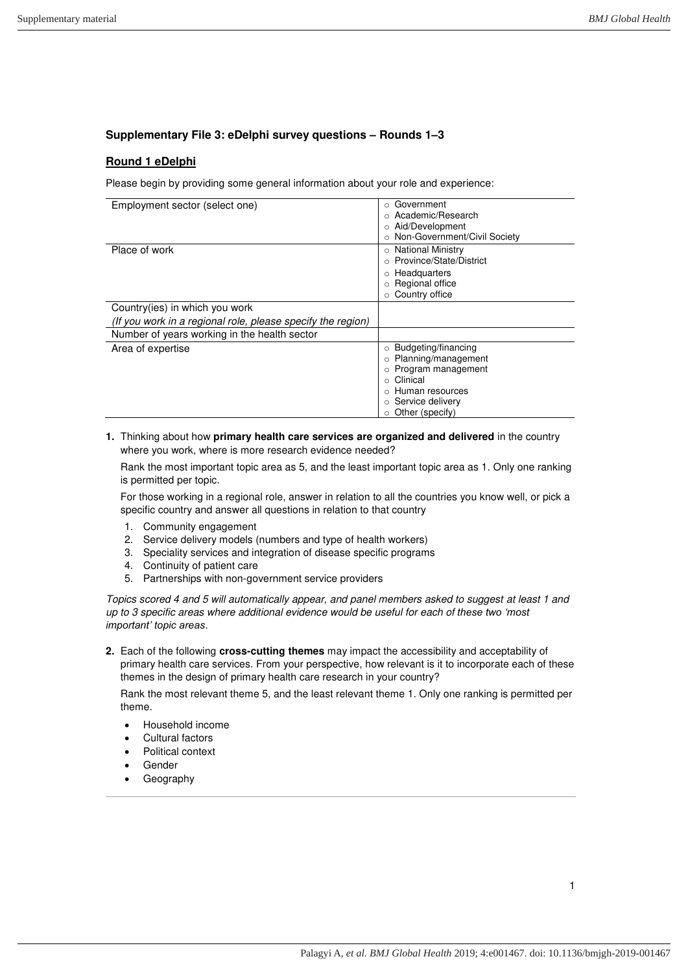# **Supplementary File 3: eDelphi survey questions – Rounds 1‒3**

# **Round 1 eDelphi**

Please begin by providing some general information about your role and experience:

| Employment sector (select one)                              | Government<br>$\circ$          |
|-------------------------------------------------------------|--------------------------------|
|                                                             | ○ Academic/Research            |
|                                                             | Aid/Development<br>$\circ$     |
|                                                             | o Non-Government/Civil Society |
| Place of work                                               | ○ National Ministry            |
|                                                             | ○ Province/State/District      |
|                                                             | Headquarters<br>$\circ$        |
|                                                             | Regional office                |
|                                                             | Country office                 |
| Country (ies) in which you work                             |                                |
| (If you work in a regional role, please specify the region) |                                |
| Number of years working in the health sector                |                                |
| Area of expertise                                           | Budgeting/financing<br>$\circ$ |
|                                                             | Planning/management<br>$\circ$ |
|                                                             | Program management             |
|                                                             | Clinical                       |
|                                                             | Human resources                |
|                                                             | Service delivery               |
|                                                             | $\circ$ Other (specify)        |

**1.** Thinking about how **primary health care services are organized and delivered** in the country where you work, where is more research evidence needed?

Rank the most important topic area as 5, and the least important topic area as 1. Only one ranking is permitted per topic.

For those working in a regional role, answer in relation to all the countries you know well, or pick a specific country and answer all questions in relation to that country

- 1. Community engagement
- 2. Service delivery models (numbers and type of health workers)
- 3. Speciality services and integration of disease specific programs
- 4. Continuity of patient care
- 5. Partnerships with non-government service providers

Topics scored 4 and 5 will automatically appear, and panel members asked to suggest at least 1 and up to 3 specific areas where additional evidence would be useful for each of *these two 'most important' topic areas*.

**2.** Each of the following **cross-cutting themes** may impact the accessibility and acceptability of primary health care services. From your perspective, how relevant is it to incorporate each of these themes in the design of primary health care research in your country?

Rank the most relevant theme 5, and the least relevant theme 1. Only one ranking is permitted per theme.

- Household income
- Cultural factors
- Political context
- Gender
- Geography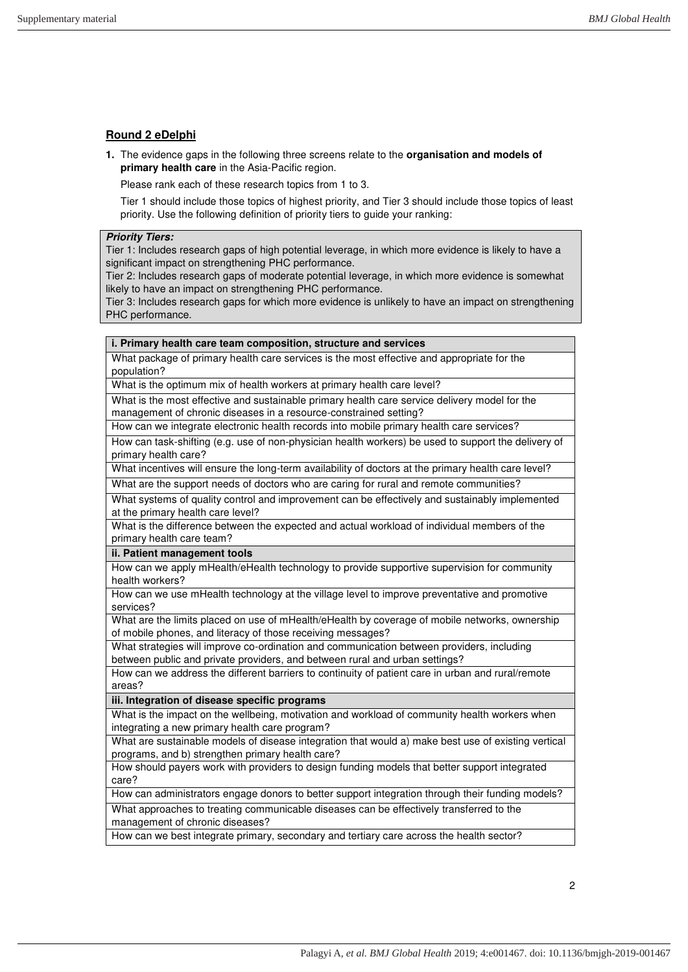## **Round 2 eDelphi**

**1.** The evidence gaps in the following three screens relate to the **organisation and models of primary health care** in the Asia-Pacific region.

Please rank each of these research topics from 1 to 3.

Tier 1 should include those topics of highest priority, and Tier 3 should include those topics of least priority. Use the following definition of priority tiers to guide your ranking:

### **Priority Tiers:**

Tier 1: Includes research gaps of high potential leverage, in which more evidence is likely to have a significant impact on strengthening PHC performance.

Tier 2: Includes research gaps of moderate potential leverage, in which more evidence is somewhat likely to have an impact on strengthening PHC performance.

Tier 3: Includes research gaps for which more evidence is unlikely to have an impact on strengthening PHC performance.

#### **i. Primary health care team composition, structure and services**

What package of primary health care services is the most effective and appropriate for the population?

What is the optimum mix of health workers at primary health care level?

What is the most effective and sustainable primary health care service delivery model for the management of chronic diseases in a resource-constrained setting?

How can we integrate electronic health records into mobile primary health care services?

How can task-shifting (e.g. use of non-physician health workers) be used to support the delivery of primary health care?

What incentives will ensure the long-term availability of doctors at the primary health care level?

What are the support needs of doctors who are caring for rural and remote communities?

What systems of quality control and improvement can be effectively and sustainably implemented at the primary health care level?

What is the difference between the expected and actual workload of individual members of the primary health care team?

### **ii. Patient management tools**

How can we apply mHealth/eHealth technology to provide supportive supervision for community health workers?

How can we use mHealth technology at the village level to improve preventative and promotive services?

What are the limits placed on use of mHealth/eHealth by coverage of mobile networks, ownership of mobile phones, and literacy of those receiving messages?

What strategies will improve co-ordination and communication between providers, including between public and private providers, and between rural and urban settings?

How can we address the different barriers to continuity of patient care in urban and rural/remote areas?

## **iii. Integration of disease specific programs**

What is the impact on the wellbeing, motivation and workload of community health workers when integrating a new primary health care program?

What are sustainable models of disease integration that would a) make best use of existing vertical programs, and b) strengthen primary health care?

How should payers work with providers to design funding models that better support integrated care?

How can administrators engage donors to better support integration through their funding models?

What approaches to treating communicable diseases can be effectively transferred to the management of chronic diseases?

How can we best integrate primary, secondary and tertiary care across the health sector?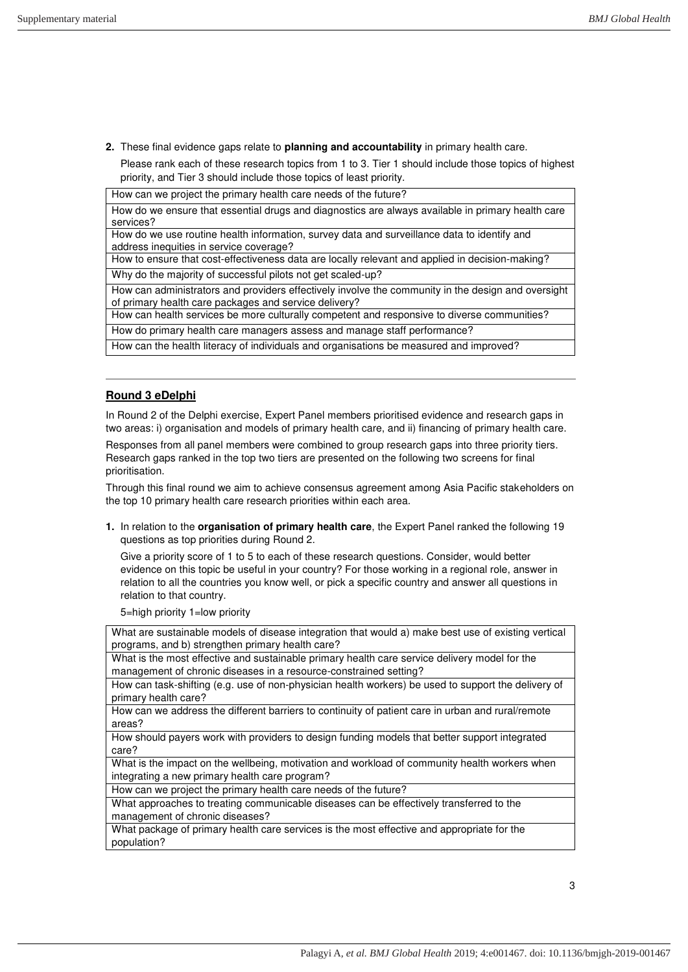- **2.** These final evidence gaps relate to **planning and accountability** in primary health care.
- Please rank each of these research topics from 1 to 3. Tier 1 should include those topics of highest priority, and Tier 3 should include those topics of least priority.

How can we project the primary health care needs of the future?

How do we ensure that essential drugs and diagnostics are always available in primary health care services?

How do we use routine health information, survey data and surveillance data to identify and address inequities in service coverage?

How to ensure that cost-effectiveness data are locally relevant and applied in decision-making?

Why do the majority of successful pilots not get scaled-up?

How can administrators and providers effectively involve the community in the design and oversight of primary health care packages and service delivery?

How can health services be more culturally competent and responsive to diverse communities?

How do primary health care managers assess and manage staff performance?

How can the health literacy of individuals and organisations be measured and improved?

## **Round 3 eDelphi**

In Round 2 of the Delphi exercise, Expert Panel members prioritised evidence and research gaps in two areas: i) organisation and models of primary health care, and ii) financing of primary health care.

Responses from all panel members were combined to group research gaps into three priority tiers. Research gaps ranked in the top two tiers are presented on the following two screens for final prioritisation.

Through this final round we aim to achieve consensus agreement among Asia Pacific stakeholders on the top 10 primary health care research priorities within each area.

**1.** In relation to the **organisation of primary health care**, the Expert Panel ranked the following 19 questions as top priorities during Round 2.

Give a priority score of 1 to 5 to each of these research questions. Consider, would better evidence on this topic be useful in your country? For those working in a regional role, answer in relation to all the countries you know well, or pick a specific country and answer all questions in relation to that country.

5=high priority 1=low priority

What are sustainable models of disease integration that would a) make best use of existing vertical programs, and b) strengthen primary health care?

What is the most effective and sustainable primary health care service delivery model for the management of chronic diseases in a resource-constrained setting?

How can task-shifting (e.g. use of non-physician health workers) be used to support the delivery of primary health care?

How can we address the different barriers to continuity of patient care in urban and rural/remote areas?

How should payers work with providers to design funding models that better support integrated care?

What is the impact on the wellbeing, motivation and workload of community health workers when integrating a new primary health care program?

How can we project the primary health care needs of the future?

What approaches to treating communicable diseases can be effectively transferred to the management of chronic diseases?

What package of primary health care services is the most effective and appropriate for the population?